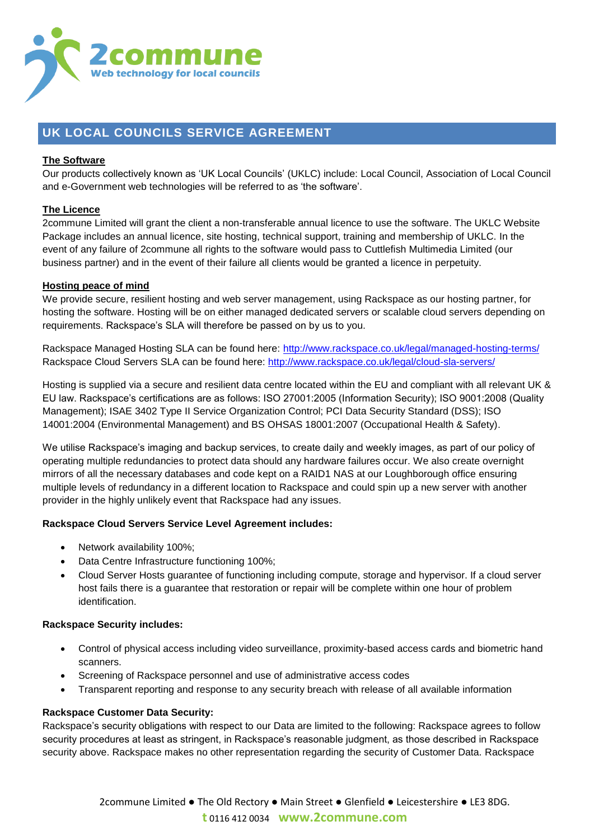

# **UK LOCAL COUNCILS SERVICE AGREEMENT**

# **The Software**

Our products collectively known as 'UK Local Councils' (UKLC) include: Local Council, Association of Local Council and e-Government web technologies will be referred to as 'the software'.

# **The Licence**

2commune Limited will grant the client a non-transferable annual licence to use the software. The UKLC Website Package includes an annual licence, site hosting, technical support, training and membership of UKLC. In the event of any failure of 2commune all rights to the software would pass to Cuttlefish Multimedia Limited (our business partner) and in the event of their failure all clients would be granted a licence in perpetuity.

# **Hosting peace of mind**

We provide secure, resilient hosting and web server management, using Rackspace as our hosting partner, for hosting the software. Hosting will be on either managed dedicated servers or scalable cloud servers depending on requirements. Rackspace's SLA will therefore be passed on by us to you.

Rackspace Managed Hosting SLA can be found here:<http://www.rackspace.co.uk/legal/managed-hosting-terms/> Rackspace Cloud Servers SLA can be found here:<http://www.rackspace.co.uk/legal/cloud-sla-servers/>

Hosting is supplied via a secure and resilient data centre located within the EU and compliant with all relevant UK & EU law. Rackspace's certifications are as follows: ISO 27001:2005 (Information Security); ISO 9001:2008 (Quality Management); ISAE 3402 Type II Service Organization Control; PCI Data Security Standard (DSS); ISO 14001:2004 (Environmental Management) and BS OHSAS 18001:2007 (Occupational Health & Safety).

We utilise Rackspace's imaging and backup services, to create daily and weekly images, as part of our policy of operating multiple redundancies to protect data should any hardware failures occur. We also create overnight mirrors of all the necessary databases and code kept on a RAID1 NAS at our Loughborough office ensuring multiple levels of redundancy in a different location to Rackspace and could spin up a new server with another provider in the highly unlikely event that Rackspace had any issues.

## **Rackspace Cloud Servers Service Level Agreement includes:**

- Network availability 100%;
- Data Centre Infrastructure functioning 100%;
- Cloud Server Hosts guarantee of functioning including compute, storage and hypervisor. If a cloud server host fails there is a guarantee that restoration or repair will be complete within one hour of problem identification.

## **Rackspace Security includes:**

- Control of physical access including video surveillance, proximity-based access cards and biometric hand scanners.
- Screening of Rackspace personnel and use of administrative access codes
- Transparent reporting and response to any security breach with release of all available information

## **Rackspace Customer Data Security:**

Rackspace's security obligations with respect to our Data are limited to the following: Rackspace agrees to follow security procedures at least as stringent, in Rackspace's reasonable judgment, as those described in Rackspace security above. Rackspace makes no other representation regarding the security of Customer Data. Rackspace